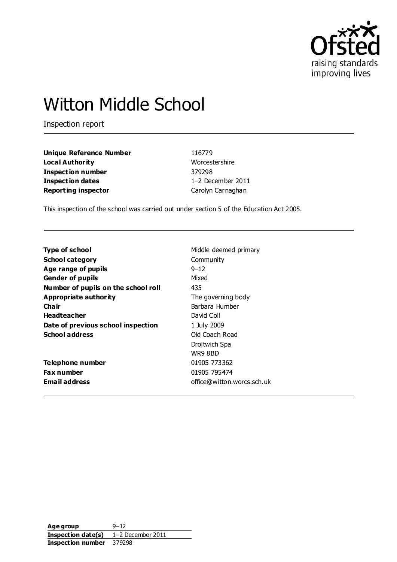

# Witton Middle School

Inspection report

**Unique Reference Number** 116779 **Local Authority** Worcestershire **Inspection number** 379298 **Inspection dates** 1–2 December 2011 **Reporting inspector** Carolyn Carnaghan

This inspection of the school was carried out under section 5 of the Education Act 2005.

| <b>Type of school</b>               | Middle deemed primary      |
|-------------------------------------|----------------------------|
| <b>School category</b>              | Community                  |
| Age range of pupils                 | $9 - 12$                   |
| <b>Gender of pupils</b>             | Mixed                      |
| Number of pupils on the school roll | 435                        |
| Appropriate authority               | The governing body         |
| Cha ir                              | Barbara Humber             |
| <b>Headteacher</b>                  | David Coll                 |
| Date of previous school inspection  | 1 July 2009                |
| <b>School address</b>               | Old Coach Road             |
|                                     | Droitwich Spa              |
|                                     | WR9 8BD                    |
| <b>Telephone number</b>             | 01905 773362               |
| <b>Fax number</b>                   | 01905 795474               |
| <b>Email address</b>                | office@witton.worcs.sch.uk |
|                                     |                            |

**Age group** 9–12 **Inspection date(s)** 1–2 December 2011 **Inspection number** 379298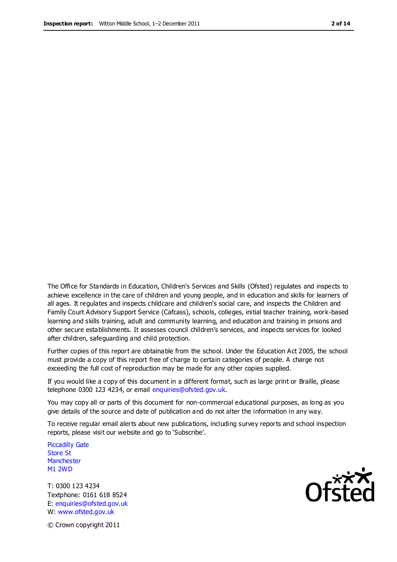The Office for Standards in Education, Children's Services and Skills (Ofsted) regulates and inspects to achieve excellence in the care of children and young people, and in education and skills for learners of all ages. It regulates and inspects childcare and children's social care, and inspects the Children and Family Court Advisory Support Service (Cafcass), schools, colleges, initial teacher training, work-based learning and skills training, adult and community learning, and education and training in prisons and other secure establishments. It assesses council children's services, and inspects services for looked after children, safeguarding and child protection.

Further copies of this report are obtainable from the school. Under the Education Act 2005, the school must provide a copy of this report free of charge to certain categories of people. A charge not exceeding the full cost of reproduction may be made for any other copies supplied.

If you would like a copy of this document in a different format, such as large print or Braille, please telephone 0300 123 4234, or email enquiries@ofsted.gov.uk.

You may copy all or parts of this document for non-commercial educational purposes, as long as you give details of the source and date of publication and do not alter the information in any way.

To receive regular email alerts about new publications, including survey reports and school inspection reports, please visit our website and go to 'Subscribe'.

Piccadilly Gate Store St **Manchester** M1 2WD

T: 0300 123 4234 Textphone: 0161 618 8524 E: enquiries@ofsted.gov.uk W: www.ofsted.gov.uk

**Ofsted** 

© Crown copyright 2011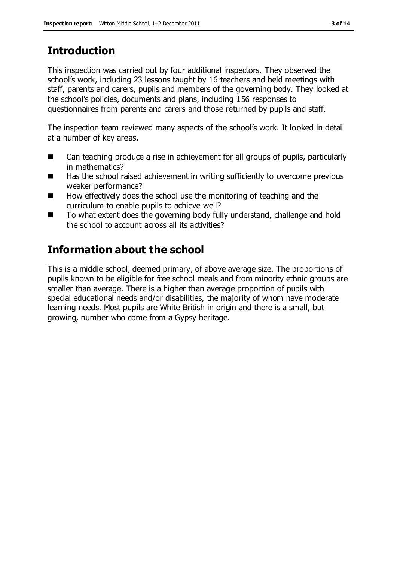# **Introduction**

This inspection was carried out by four additional inspectors. They observed the school's work, including 23 lessons taught by 16 teachers and held meetings with staff, parents and carers, pupils and members of the governing body. They looked at the school's policies, documents and plans, including 156 responses to questionnaires from parents and carers and those returned by pupils and staff.

The inspection team reviewed many aspects of the school's work. It looked in detail at a number of key areas.

- Can teaching produce a rise in achievement for all groups of pupils, particularly in mathematics?
- Has the school raised achievement in writing sufficiently to overcome previous weaker performance?
- $\blacksquare$  How effectively does the school use the monitoring of teaching and the curriculum to enable pupils to achieve well?
- To what extent does the governing body fully understand, challenge and hold the school to account across all its activities?

# **Information about the school**

This is a middle school, deemed primary, of above average size. The proportions of pupils known to be eligible for free school meals and from minority ethnic groups are smaller than average. There is a higher than average proportion of pupils with special educational needs and/or disabilities, the majority of whom have moderate learning needs. Most pupils are White British in origin and there is a small, but growing, number who come from a Gypsy heritage.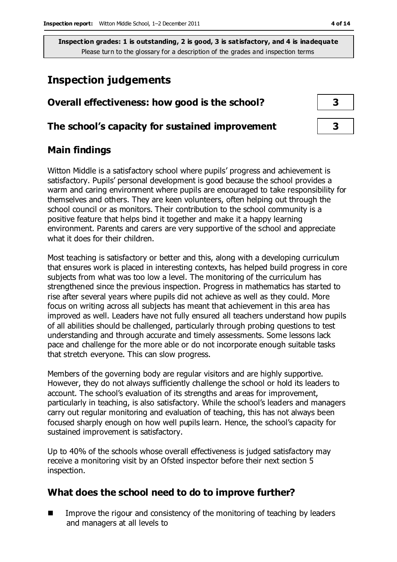# **Inspection judgements**

| Overall effectiveness: how good is the school?  |  |
|-------------------------------------------------|--|
| The school's capacity for sustained improvement |  |

## **Main findings**

Witton Middle is a satisfactory school where pupils' progress and achievement is satisfactory. Pupils' personal development is good because the school provides a warm and caring environment where pupils are encouraged to take responsibility for themselves and others. They are keen volunteers, often helping out through the school council or as monitors. Their contribution to the school community is a positive feature that helps bind it together and make it a happy learning environment. Parents and carers are very supportive of the school and appreciate what it does for their children.

Most teaching is satisfactory or better and this, along with a developing curriculum that ensures work is placed in interesting contexts, has helped build progress in core subjects from what was too low a level. The monitoring of the curriculum has strengthened since the previous inspection. Progress in mathematics has started to rise after several years where pupils did not achieve as well as they could. More focus on writing across all subjects has meant that achievement in this area has improved as well. Leaders have not fully ensured all teachers understand how pupils of all abilities should be challenged, particularly through probing questions to test understanding and through accurate and timely assessments. Some lessons lack pace and challenge for the more able or do not incorporate enough suitable tasks that stretch everyone. This can slow progress.

Members of the governing body are regular visitors and are highly supportive. However, they do not always sufficiently challenge the school or hold its leaders to account. The school's evaluation of its strengths and areas for improvement, particularly in teaching, is also satisfactory. While the school's leaders and managers carry out regular monitoring and evaluation of teaching, this has not always been focused sharply enough on how well pupils learn. Hence, the school's capacity for sustained improvement is satisfactory.

Up to 40% of the schools whose overall effectiveness is judged satisfactory may receive a monitoring visit by an Ofsted inspector before their next section 5 inspection.

# **What does the school need to do to improve further?**

 Improve the rigour and consistency of the monitoring of teaching by leaders and managers at all levels to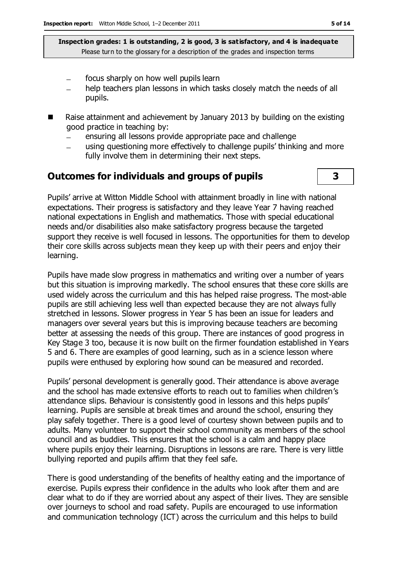- focus sharply on how well pupils learn
- help teachers plan lessons in which tasks closely match the needs of all pupils.
- Raise attainment and achievement by January 2013 by building on the existing good practice in teaching by:
	- ensuring all lessons provide appropriate pace and challenge
	- using questioning more effectively to challenge pupils' thinking and more fully involve them in determining their next steps.

### **Outcomes for individuals and groups of pupils 3**

Pupils' arrive at Witton Middle School with attainment broadly in line with national expectations. Their progress is satisfactory and they leave Year 7 having reached national expectations in English and mathematics. Those with special educational needs and/or disabilities also make satisfactory progress because the targeted support they receive is well focused in lessons. The opportunities for them to develop their core skills across subjects mean they keep up with their peers and enjoy their learning.

Pupils have made slow progress in mathematics and writing over a number of years but this situation is improving markedly. The school ensures that these core skills are used widely across the curriculum and this has helped raise progress. The most-able pupils are still achieving less well than expected because they are not always fully stretched in lessons. Slower progress in Year 5 has been an issue for leaders and managers over several years but this is improving because teachers are becoming better at assessing the needs of this group. There are instances of good progress in Key Stage 3 too, because it is now built on the firmer foundation established in Years 5 and 6. There are examples of good learning, such as in a science lesson where pupils were enthused by exploring how sound can be measured and recorded.

Pupils' personal development is generally good. Their attendance is above average and the school has made extensive efforts to reach out to families when children's attendance slips. Behaviour is consistently good in lessons and this helps pupils' learning. Pupils are sensible at break times and around the school, ensuring they play safely together. There is a good level of courtesy shown between pupils and to adults. Many volunteer to support their school community as members of the school council and as buddies. This ensures that the school is a calm and happy place where pupils enjoy their learning. Disruptions in lessons are rare. There is very little bullying reported and pupils affirm that they feel safe.

There is good understanding of the benefits of healthy eating and the importance of exercise. Pupils express their confidence in the adults who look after them and are clear what to do if they are worried about any aspect of their lives. They are sensible over journeys to school and road safety. Pupils are encouraged to use information and communication technology (ICT) across the curriculum and this helps to build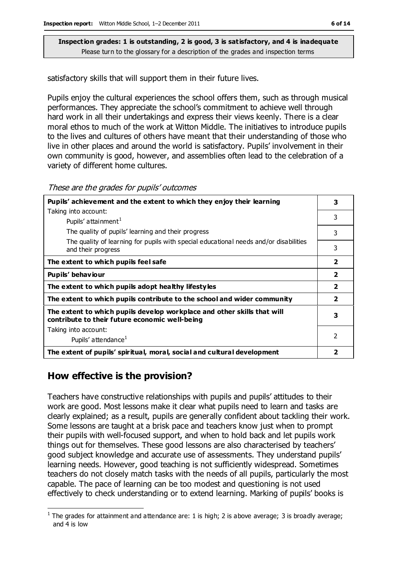satisfactory skills that will support them in their future lives.

Pupils enjoy the cultural experiences the school offers them, such as through musical performances. They appreciate the school's commitment to achieve well through hard work in all their undertakings and express their views keenly. There is a clear moral ethos to much of the work at Witton Middle. The initiatives to introduce pupils to the lives and cultures of others have meant that their understanding of those who live in other places and around the world is satisfactory. Pupils' involvement in their own community is good, however, and assemblies often lead to the celebration of a variety of different home cultures.

These are the grades for pupils' outcomes

| Pupils' achievement and the extent to which they enjoy their learning                                                     |                          |  |
|---------------------------------------------------------------------------------------------------------------------------|--------------------------|--|
| Taking into account:                                                                                                      |                          |  |
| Pupils' attainment <sup>1</sup>                                                                                           | 3                        |  |
| The quality of pupils' learning and their progress                                                                        | 3                        |  |
| The quality of learning for pupils with special educational needs and/or disabilities<br>and their progress               | 3                        |  |
| The extent to which pupils feel safe                                                                                      | $\overline{2}$           |  |
| Pupils' behaviour                                                                                                         | $\overline{2}$           |  |
| The extent to which pupils adopt healthy lifestyles                                                                       |                          |  |
| The extent to which pupils contribute to the school and wider community                                                   |                          |  |
| The extent to which pupils develop workplace and other skills that will<br>contribute to their future economic well-being |                          |  |
| Taking into account:                                                                                                      |                          |  |
| Pupils' attendance <sup>1</sup>                                                                                           | $\overline{\phantom{a}}$ |  |
| The extent of pupils' spiritual, moral, social and cultural development                                                   | 2                        |  |

### **How effective is the provision?**

Teachers have constructive relationships with pupils and pupils' attitudes to their work are good. Most lessons make it clear what pupils need to learn and tasks are clearly explained; as a result, pupils are generally confident about tackling their work. Some lessons are taught at a brisk pace and teachers know just when to prompt their pupils with well-focused support, and when to hold back and let pupils work things out for themselves. These good lessons are also characterised by teachers' good subject knowledge and accurate use of assessments. They understand pupils' learning needs. However, good teaching is not sufficiently widespread. Sometimes teachers do not closely match tasks with the needs of all pupils, particularly the most capable. The pace of learning can be too modest and questioning is not used effectively to check understanding or to extend learning. Marking of pupils' books is

 $\overline{a}$ <sup>1</sup> The grades for attainment and attendance are: 1 is high; 2 is above average; 3 is broadly average; and 4 is low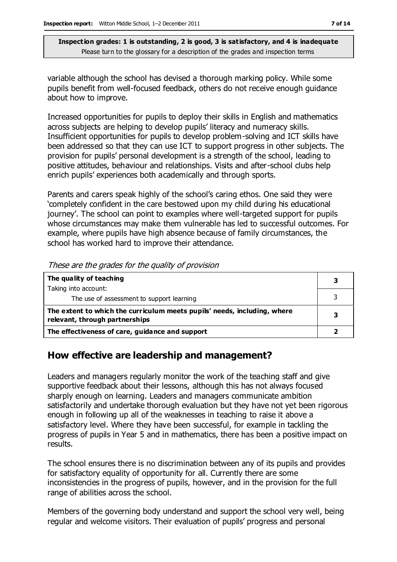variable although the school has devised a thorough marking policy. While some pupils benefit from well-focused feedback, others do not receive enough guidance about how to improve.

Increased opportunities for pupils to deploy their skills in English and mathematics across subjects are helping to develop pupils' literacy and numeracy skills. Insufficient opportunities for pupils to develop problem-solving and ICT skills have been addressed so that they can use ICT to support progress in other subjects. The provision for pupils' personal development is a strength of the school, leading to positive attitudes, behaviour and relationships. Visits and after-school clubs help enrich pupils' experiences both academically and through sports.

Parents and carers speak highly of the school's caring ethos. One said they were 'completely confident in the care bestowed upon my child during his educational journey'. The school can point to examples where well-targeted support for pupils whose circumstances may make them vulnerable has led to successful outcomes. For example, where pupils have high absence because of family circumstances, the school has worked hard to improve their attendance.

| The quality of teaching                                                                                    |  |
|------------------------------------------------------------------------------------------------------------|--|
| Taking into account:                                                                                       |  |
| The use of assessment to support learning                                                                  |  |
| The extent to which the curriculum meets pupils' needs, including, where<br>relevant, through partnerships |  |
| The effectiveness of care, guidance and support                                                            |  |

These are the grades for the quality of provision

### **How effective are leadership and management?**

Leaders and managers regularly monitor the work of the teaching staff and give supportive feedback about their lessons, although this has not always focused sharply enough on learning. Leaders and managers communicate ambition satisfactorily and undertake thorough evaluation but they have not yet been rigorous enough in following up all of the weaknesses in teaching to raise it above a satisfactory level. Where they have been successful, for example in tackling the progress of pupils in Year 5 and in mathematics, there has been a positive impact on results.

The school ensures there is no discrimination between any of its pupils and provides for satisfactory equality of opportunity for all. Currently there are some inconsistencies in the progress of pupils, however, and in the provision for the full range of abilities across the school.

Members of the governing body understand and support the school very well, being regular and welcome visitors. Their evaluation of pupils' progress and personal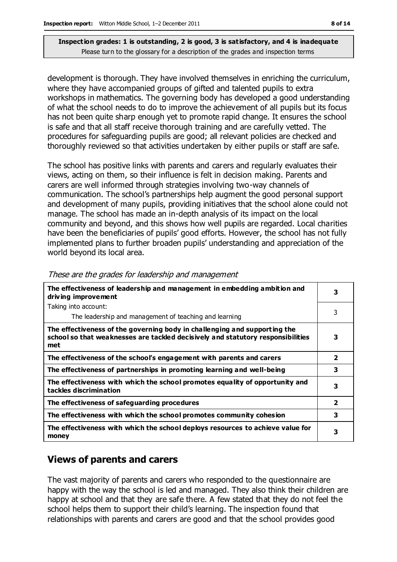development is thorough. They have involved themselves in enriching the curriculum, where they have accompanied groups of gifted and talented pupils to extra workshops in mathematics. The governing body has developed a good understanding of what the school needs to do to improve the achievement of all pupils but its focus has not been quite sharp enough yet to promote rapid change. It ensures the school is safe and that all staff receive thorough training and are carefully vetted. The procedures for safeguarding pupils are good; all relevant policies are checked and thoroughly reviewed so that activities undertaken by either pupils or staff are safe.

The school has positive links with parents and carers and regularly evaluates their views, acting on them, so their influence is felt in decision making. Parents and carers are well informed through strategies involving two-way channels of communication. The school's partnerships help augment the good personal support and development of many pupils, providing initiatives that the school alone could not manage. The school has made an in-depth analysis of its impact on the local community and beyond, and this shows how well pupils are regarded. Local charities have been the beneficiaries of pupils' good efforts. However, the school has not fully implemented plans to further broaden pupils' understanding and appreciation of the world beyond its local area.

| The effectiveness of leadership and management in embedding ambition and<br>driving improvement                                                                     |                         |
|---------------------------------------------------------------------------------------------------------------------------------------------------------------------|-------------------------|
| Taking into account:                                                                                                                                                |                         |
| The leadership and management of teaching and learning                                                                                                              | 3                       |
| The effectiveness of the governing body in challenging and supporting the<br>school so that weaknesses are tackled decisively and statutory responsibilities<br>met | 3                       |
| The effectiveness of the school's engagement with parents and carers                                                                                                | $\overline{\mathbf{2}}$ |
| The effectiveness of partnerships in promoting learning and well-being                                                                                              | 3                       |
| The effectiveness with which the school promotes equality of opportunity and<br>tackles discrimination                                                              | 3                       |
| The effectiveness of safeguarding procedures                                                                                                                        | $\overline{\mathbf{2}}$ |
| The effectiveness with which the school promotes community cohesion                                                                                                 | 3                       |
| The effectiveness with which the school deploys resources to achieve value for<br>money                                                                             | 3                       |

These are the grades for leadership and management

# **Views of parents and carers**

The vast majority of parents and carers who responded to the questionnaire are happy with the way the school is led and managed. They also think their children are happy at school and that they are safe there. A few stated that they do not feel the school helps them to support their child's learning. The inspection found that relationships with parents and carers are good and that the school provides good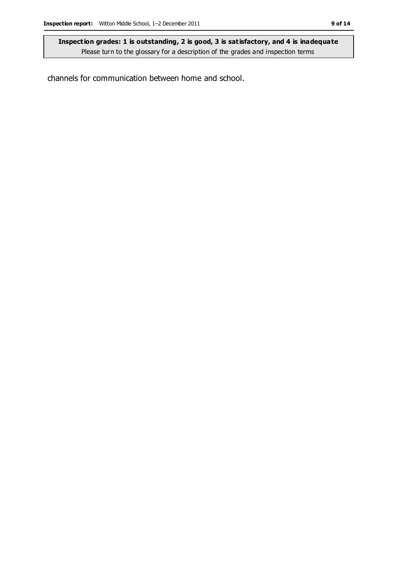channels for communication between home and school.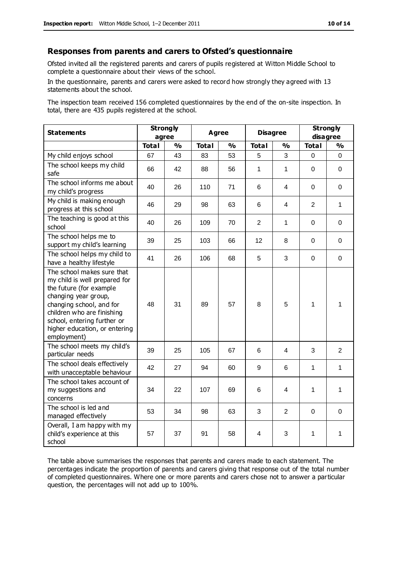#### **Responses from parents and carers to Ofsted's questionnaire**

Ofsted invited all the registered parents and carers of pupils registered at Witton Middle School to complete a questionnaire about their views of the school.

In the questionnaire, parents and carers were asked to record how strongly they agreed with 13 statements about the school.

The inspection team received 156 completed questionnaires by the end of the on-site inspection. In total, there are 435 pupils registered at the school.

| <b>Statements</b>                                                                                                                                                                                                                                       | <b>Strongly</b><br>agree |               | <b>Agree</b> |               | <b>Disagree</b> |               | <b>Strongly</b><br>disagree |                |
|---------------------------------------------------------------------------------------------------------------------------------------------------------------------------------------------------------------------------------------------------------|--------------------------|---------------|--------------|---------------|-----------------|---------------|-----------------------------|----------------|
|                                                                                                                                                                                                                                                         | <b>Total</b>             | $\frac{1}{2}$ | <b>Total</b> | $\frac{1}{2}$ | <b>Total</b>    | $\frac{1}{2}$ | <b>Total</b>                | $\frac{1}{2}$  |
| My child enjoys school                                                                                                                                                                                                                                  | 67                       | 43            | 83           | 53            | 5               | $\sqrt{3}$    | 0                           | 0              |
| The school keeps my child<br>safe                                                                                                                                                                                                                       | 66                       | 42            | 88           | 56            | 1               | 1             | $\mathbf 0$                 | $\mathbf 0$    |
| The school informs me about<br>my child's progress                                                                                                                                                                                                      | 40                       | 26            | 110          | 71            | 6               | 4             | $\Omega$                    | $\mathbf 0$    |
| My child is making enough<br>progress at this school                                                                                                                                                                                                    | 46                       | 29            | 98           | 63            | 6               | 4             | $\overline{2}$              | 1              |
| The teaching is good at this<br>school                                                                                                                                                                                                                  | 40                       | 26            | 109          | 70            | $\overline{2}$  | 1             | $\mathbf 0$                 | $\Omega$       |
| The school helps me to<br>support my child's learning                                                                                                                                                                                                   | 39                       | 25            | 103          | 66            | 12              | 8             | 0                           | 0              |
| The school helps my child to<br>have a healthy lifestyle                                                                                                                                                                                                | 41                       | 26            | 106          | 68            | 5               | 3             | $\Omega$                    | $\mathbf 0$    |
| The school makes sure that<br>my child is well prepared for<br>the future (for example<br>changing year group,<br>changing school, and for<br>children who are finishing<br>school, entering further or<br>higher education, or entering<br>employment) | 48                       | 31            | 89           | 57            | 8               | 5             | 1                           | 1              |
| The school meets my child's<br>particular needs                                                                                                                                                                                                         | 39                       | 25            | 105          | 67            | 6               | 4             | 3                           | $\overline{2}$ |
| The school deals effectively<br>with unacceptable behaviour                                                                                                                                                                                             | 42                       | 27            | 94           | 60            | 9               | 6             | 1                           | 1              |
| The school takes account of<br>my suggestions and<br>concerns                                                                                                                                                                                           | 34                       | 22            | 107          | 69            | 6               | 4             | 1                           | 1              |
| The school is led and<br>managed effectively                                                                                                                                                                                                            | 53                       | 34            | 98           | 63            | 3               | 2             | $\mathbf 0$                 | $\mathbf 0$    |
| Overall, I am happy with my<br>child's experience at this<br>school                                                                                                                                                                                     | 57                       | 37            | 91           | 58            | 4               | 3             | 1                           | 1              |

The table above summarises the responses that parents and carers made to each statement. The percentages indicate the proportion of parents and carers giving that response out of the total number of completed questionnaires. Where one or more parents and carers chose not to answer a particular question, the percentages will not add up to 100%.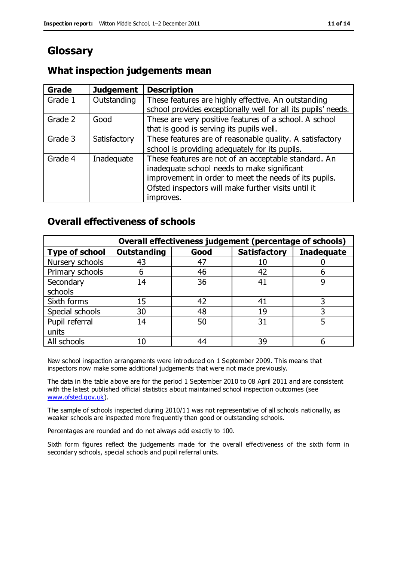# **Glossary**

### **What inspection judgements mean**

| <b>Grade</b> | <b>Judgement</b> | <b>Description</b>                                            |
|--------------|------------------|---------------------------------------------------------------|
| Grade 1      | Outstanding      | These features are highly effective. An outstanding           |
|              |                  | school provides exceptionally well for all its pupils' needs. |
| Grade 2      | Good             | These are very positive features of a school. A school        |
|              |                  | that is good is serving its pupils well.                      |
| Grade 3      | Satisfactory     | These features are of reasonable quality. A satisfactory      |
|              |                  | school is providing adequately for its pupils.                |
| Grade 4      | Inadequate       | These features are not of an acceptable standard. An          |
|              |                  | inadequate school needs to make significant                   |
|              |                  | improvement in order to meet the needs of its pupils.         |
|              |                  | Ofsted inspectors will make further visits until it           |
|              |                  | improves.                                                     |

### **Overall effectiveness of schools**

|                       | Overall effectiveness judgement (percentage of schools) |      |                     |                   |
|-----------------------|---------------------------------------------------------|------|---------------------|-------------------|
| <b>Type of school</b> | <b>Outstanding</b>                                      | Good | <b>Satisfactory</b> | <b>Inadequate</b> |
| Nursery schools       | 43                                                      | 47   | 10                  |                   |
| Primary schools       | 6                                                       | 46   | 42                  |                   |
| Secondary             | 14                                                      | 36   | 41                  |                   |
| schools               |                                                         |      |                     |                   |
| Sixth forms           | 15                                                      | 42   | 41                  | 3                 |
| Special schools       | 30                                                      | 48   | 19                  |                   |
| Pupil referral        | 14                                                      | 50   | 31                  |                   |
| units                 |                                                         |      |                     |                   |
| All schools           | 10                                                      | 44   | 39                  |                   |

New school inspection arrangements were introduced on 1 September 2009. This means that inspectors now make some additional judgements that were not made previously.

The data in the table above are for the period 1 September 2010 to 08 April 2011 and are consistent with the latest published official statistics about maintained school inspection outcomes (see [www.ofsted.gov.uk\)](http://www.ofsted.gov.uk/).

The sample of schools inspected during 2010/11 was not representative of all schools nationally, as weaker schools are inspected more frequently than good or outstanding schools.

Percentages are rounded and do not always add exactly to 100.

Sixth form figures reflect the judgements made for the overall effectiveness of the sixth form in secondary schools, special schools and pupil referral units.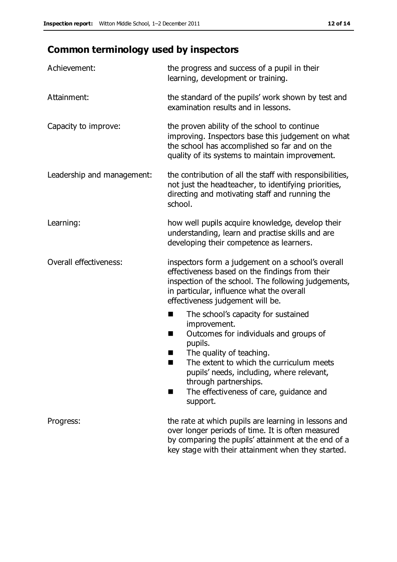# **Common terminology used by inspectors**

| Achievement:               | the progress and success of a pupil in their<br>learning, development or training.                                                                                                                                                                                                                                             |  |  |
|----------------------------|--------------------------------------------------------------------------------------------------------------------------------------------------------------------------------------------------------------------------------------------------------------------------------------------------------------------------------|--|--|
| Attainment:                | the standard of the pupils' work shown by test and<br>examination results and in lessons.                                                                                                                                                                                                                                      |  |  |
| Capacity to improve:       | the proven ability of the school to continue<br>improving. Inspectors base this judgement on what<br>the school has accomplished so far and on the<br>quality of its systems to maintain improvement.                                                                                                                          |  |  |
| Leadership and management: | the contribution of all the staff with responsibilities,<br>not just the headteacher, to identifying priorities,<br>directing and motivating staff and running the<br>school.                                                                                                                                                  |  |  |
| Learning:                  | how well pupils acquire knowledge, develop their<br>understanding, learn and practise skills and are<br>developing their competence as learners.                                                                                                                                                                               |  |  |
| Overall effectiveness:     | inspectors form a judgement on a school's overall<br>effectiveness based on the findings from their<br>inspection of the school. The following judgements,<br>in particular, influence what the overall<br>effectiveness judgement will be.                                                                                    |  |  |
|                            | The school's capacity for sustained<br>improvement.<br>Outcomes for individuals and groups of<br>ш<br>pupils.<br>The quality of teaching.<br>The extent to which the curriculum meets<br>a s<br>pupils' needs, including, where relevant,<br>through partnerships.<br>The effectiveness of care, guidance and<br>■<br>support. |  |  |
| Progress:                  | the rate at which pupils are learning in lessons and<br>over longer periods of time. It is often measured<br>by comparing the pupils' attainment at the end of a<br>key stage with their attainment when they started.                                                                                                         |  |  |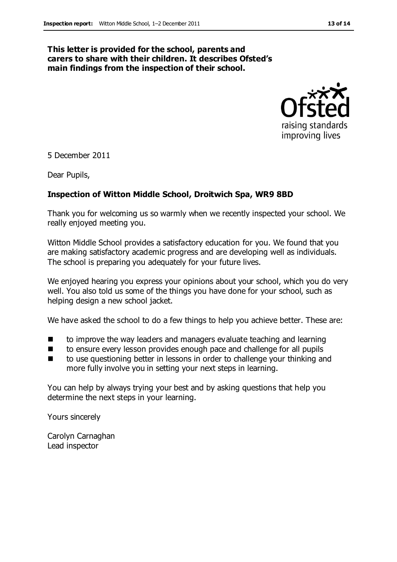#### **This letter is provided for the school, parents and carers to share with their children. It describes Ofsted's main findings from the inspection of their school.**



5 December 2011

Dear Pupils,

#### **Inspection of Witton Middle School, Droitwich Spa, WR9 8BD**

Thank you for welcoming us so warmly when we recently inspected your school. We really enjoyed meeting you.

Witton Middle School provides a satisfactory education for you. We found that you are making satisfactory academic progress and are developing well as individuals. The school is preparing you adequately for your future lives.

We enjoyed hearing you express your opinions about your school, which you do very well. You also told us some of the things you have done for your school, such as helping design a new school jacket.

We have asked the school to do a few things to help you achieve better. These are:

- $\blacksquare$  to improve the way leaders and managers evaluate teaching and learning
- to ensure every lesson provides enough pace and challenge for all pupils
- to use questioning better in lessons in order to challenge your thinking and more fully involve you in setting your next steps in learning.

You can help by always trying your best and by asking questions that help you determine the next steps in your learning.

Yours sincerely

Carolyn Carnaghan Lead inspector